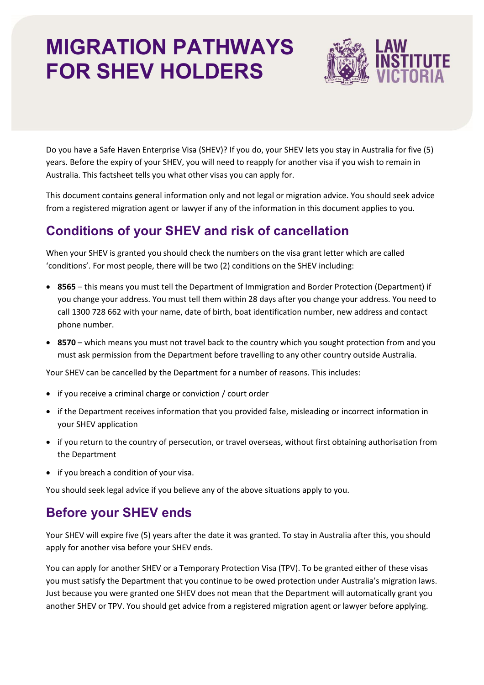# **MIGRATION PATHWAYS FOR SHEV HOLDERS**



Do you have a Safe Haven Enterprise Visa (SHEV)? If you do, your SHEV lets you stay in Australia for five (5) years. Before the expiry of your SHEV, you will need to reapply for another visa if you wish to remain in Australia. This factsheet tells you what other visas you can apply for.

This document contains general information only and not legal or migration advice. You should seek advice from a registered migration agent or lawyer if any of the information in this document applies to you.

# **Conditions of your SHEV and risk of cancellation**

When your SHEV is granted you should check the numbers on the visa grant letter which are called 'conditions'. For most people, there will be two (2) conditions on the SHEV including:

- **8565** this means you must tell the Department of Immigration and Border Protection (Department) if you change your address. You must tell them within 28 days after you change your address. You need to call 1300 728 662 with your name, date of birth, boat identification number, new address and contact phone number.
- **8570** which means you must not travel back to the country which you sought protection from and you must ask permission from the Department before travelling to any other country outside Australia.

Your SHEV can be cancelled by the Department for a number of reasons. This includes:

- if you receive a criminal charge or conviction / court order
- if the Department receives information that you provided false, misleading or incorrect information in your SHEV application
- if you return to the country of persecution, or travel overseas, without first obtaining authorisation from the Department
- if you breach a condition of your visa.

You should seek legal advice if you believe any of the above situations apply to you.

## **Before your SHEV ends**

Your SHEV will expire five (5) years after the date it was granted. To stay in Australia after this, you should apply for another visa before your SHEV ends.

You can apply for another SHEV or a Temporary Protection Visa (TPV). To be granted either of these visas you must satisfy the Department that you continue to be owed protection under Australia's migration laws. Just because you were granted one SHEV does not mean that the Department will automatically grant you another SHEV or TPV. You should get advice from a registered migration agent or lawyer before applying.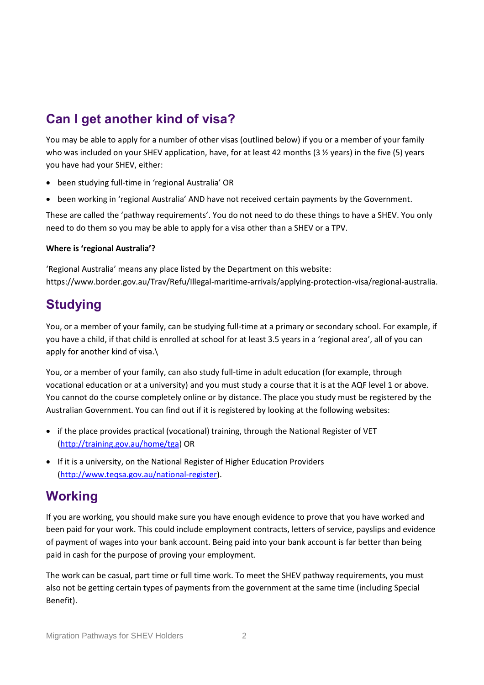# **Can I get another kind of visa?**

You may be able to apply for a number of other visas (outlined below) if you or a member of your family who was included on your SHEV application, have, for at least 42 months (3  $\frac{1}{2}$  years) in the five (5) years you have had your SHEV, either:

- been studying full-time in 'regional Australia' OR
- been working in 'regional Australia' AND have not received certain payments by the Government.

These are called the 'pathway requirements'. You do not need to do these things to have a SHEV. You only need to do them so you may be able to apply for a visa other than a SHEV or a TPV.

#### **Where is 'regional Australia'?**

'Regional Australia' means any place listed by the Department on this website: [https://www.border.gov.au/Trav/Refu/Illegal-maritime-arrivals/applying-protection-visa/regional-australia.](https://www.border.gov.au/Trav/Refu/Illegal-maritime-arrivals/applying-protection-visa/regional-australia)

### **Studying**

You, or a member of your family, can be studying full-time at a primary or secondary school. For example, if you have a child, if that child is enrolled at school for at least 3.5 years in a 'regional area', all of you can apply for another kind of visa.\

You, or a member of your family, can also study full-time in adult education (for example, through vocational education or at a university) and you must study a course that it is at the AQF level 1 or above. You cannot do the course completely online or by distance. The place you study must be registered by the Australian Government. You can find out if it is registered by looking at the following websites:

- if the place provides practical (vocational) training, through the National Register of VET [\(http://training.gov.au/home/tga\)](http://training.gov.au/home/tga) OR
- If it is a university, on the National Register of Higher Education Providers [\(http://www.teqsa.gov.au/national-register\)](http://www.teqsa.gov.au/national-register).

### **Working**

If you are working, you should make sure you have enough evidence to prove that you have worked and been paid for your work. This could include employment contracts, letters of service, payslips and evidence of payment of wages into your bank account. Being paid into your bank account is far better than being paid in cash for the purpose of proving your employment.

The work can be casual, part time or full time work. To meet the SHEV pathway requirements, you must also not be getting certain types of payments from the government at the same time (including Special Benefit).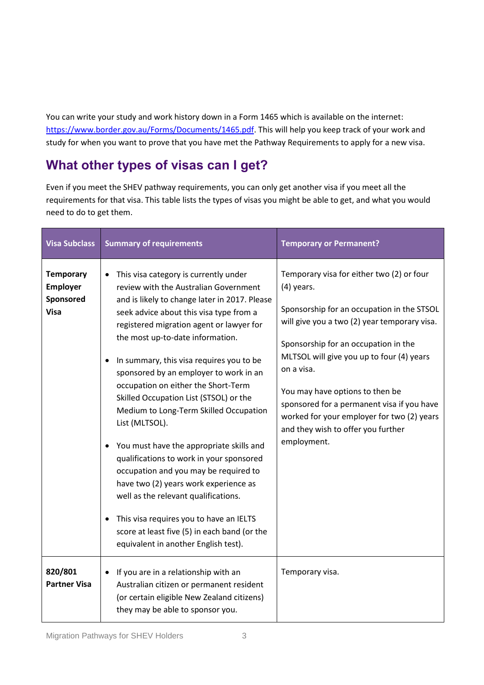You can write your study and work history down in a Form 1465 which is available on the internet: [https://www.border.gov.au/Forms/Documents/1465.pdf.](https://www.border.gov.au/Forms/Documents/1465.pdf) This will help you keep track of your work and study for when you want to prove that you have met the Pathway Requirements to apply for a new visa.

# **What other types of visas can I get?**

Even if you meet the SHEV pathway requirements, you can only get another visa if you meet all the requirements for that visa. This table lists the types of visas you might be able to get, and what you would need to do to get them.

| <b>Visa Subclass</b>                                            | <b>Summary of requirements</b>                                                                                                                                                                                                                                                                                                                                                                                                                                                                                                                                                                                                                                                                                                                                                                                                                     | <b>Temporary or Permanent?</b>                                                                                                                                                                                                                                                                                                                                                                                                                 |
|-----------------------------------------------------------------|----------------------------------------------------------------------------------------------------------------------------------------------------------------------------------------------------------------------------------------------------------------------------------------------------------------------------------------------------------------------------------------------------------------------------------------------------------------------------------------------------------------------------------------------------------------------------------------------------------------------------------------------------------------------------------------------------------------------------------------------------------------------------------------------------------------------------------------------------|------------------------------------------------------------------------------------------------------------------------------------------------------------------------------------------------------------------------------------------------------------------------------------------------------------------------------------------------------------------------------------------------------------------------------------------------|
| <b>Temporary</b><br><b>Employer</b><br>Sponsored<br><b>Visa</b> | This visa category is currently under<br>review with the Australian Government<br>and is likely to change later in 2017. Please<br>seek advice about this visa type from a<br>registered migration agent or lawyer for<br>the most up-to-date information.<br>In summary, this visa requires you to be<br>sponsored by an employer to work in an<br>occupation on either the Short-Term<br>Skilled Occupation List (STSOL) or the<br>Medium to Long-Term Skilled Occupation<br>List (MLTSOL).<br>You must have the appropriate skills and<br>qualifications to work in your sponsored<br>occupation and you may be required to<br>have two (2) years work experience as<br>well as the relevant qualifications.<br>This visa requires you to have an IELTS<br>score at least five (5) in each band (or the<br>equivalent in another English test). | Temporary visa for either two (2) or four<br>$(4)$ years.<br>Sponsorship for an occupation in the STSOL<br>will give you a two (2) year temporary visa.<br>Sponsorship for an occupation in the<br>MLTSOL will give you up to four (4) years<br>on a visa.<br>You may have options to then be<br>sponsored for a permanent visa if you have<br>worked for your employer for two (2) years<br>and they wish to offer you further<br>employment. |
| 820/801<br><b>Partner Visa</b>                                  | If you are in a relationship with an<br>Australian citizen or permanent resident<br>(or certain eligible New Zealand citizens)<br>they may be able to sponsor you.                                                                                                                                                                                                                                                                                                                                                                                                                                                                                                                                                                                                                                                                                 | Temporary visa.                                                                                                                                                                                                                                                                                                                                                                                                                                |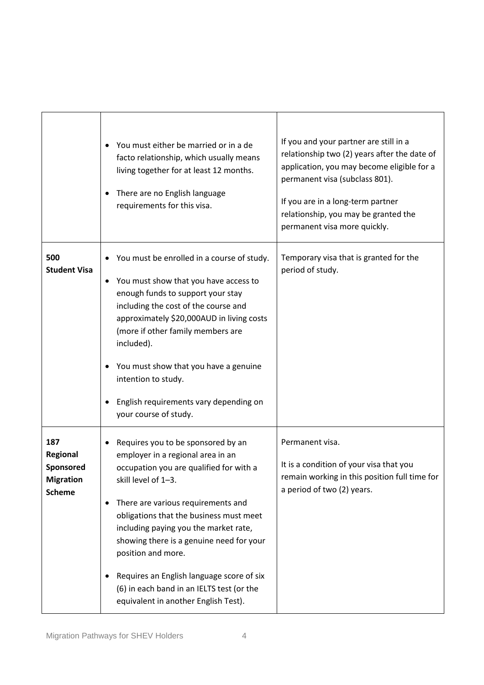|                                                                   | You must either be married or in a de<br>facto relationship, which usually means<br>living together for at least 12 months.<br>There are no English language<br>requirements for this visa.                                                                                                                                                                                                                                                                             | If you and your partner are still in a<br>relationship two (2) years after the date of<br>application, you may become eligible for a<br>permanent visa (subclass 801).<br>If you are in a long-term partner<br>relationship, you may be granted the<br>permanent visa more quickly. |
|-------------------------------------------------------------------|-------------------------------------------------------------------------------------------------------------------------------------------------------------------------------------------------------------------------------------------------------------------------------------------------------------------------------------------------------------------------------------------------------------------------------------------------------------------------|-------------------------------------------------------------------------------------------------------------------------------------------------------------------------------------------------------------------------------------------------------------------------------------|
| 500<br><b>Student Visa</b>                                        | You must be enrolled in a course of study.<br>You must show that you have access to<br>$\bullet$<br>enough funds to support your stay<br>including the cost of the course and<br>approximately \$20,000AUD in living costs<br>(more if other family members are<br>included).<br>You must show that you have a genuine<br>intention to study.<br>English requirements vary depending on<br>your course of study.                                                        | Temporary visa that is granted for the<br>period of study.                                                                                                                                                                                                                          |
| 187<br>Regional<br>Sponsored<br><b>Migration</b><br><b>Scheme</b> | Requires you to be sponsored by an<br>employer in a regional area in an<br>occupation you are qualified for with a<br>skill level of 1-3.<br>There are various requirements and<br>obligations that the business must meet<br>including paying you the market rate,<br>showing there is a genuine need for your<br>position and more.<br>Requires an English language score of six<br>(6) in each band in an IELTS test (or the<br>equivalent in another English Test). | Permanent visa.<br>It is a condition of your visa that you<br>remain working in this position full time for<br>a period of two (2) years.                                                                                                                                           |